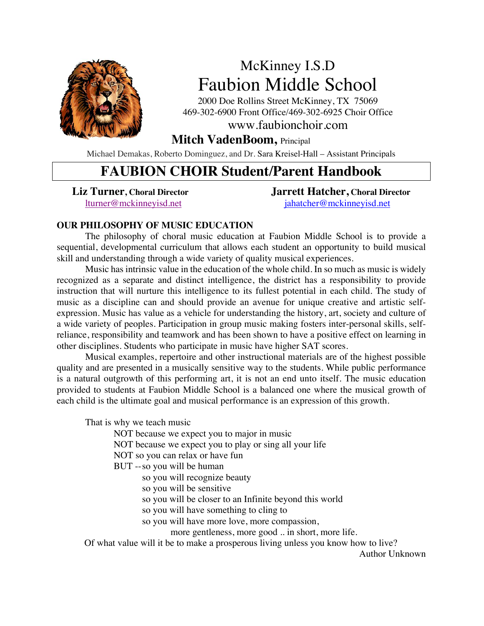

# McKinney I.S.D Faubion Middle School

2000 Doe Rollins Street McKinney, TX 75069 469-302-6900 Front Office/469-302-6925 Choir Office

www.faubionchoir.com

# **Mitch VadenBoom,** Principal

Michael Demakas, Roberto Dominguez, and Dr. Sara Kreisel-Hall – Assistant Principals

# **FAUBION CHOIR Student/Parent Handbook**

**Liz Turner, Choral Director Jarrett Hatcher, Choral Director** lturner@mckinneyisd.net jahatcher@mckinneyisd.net

# **OUR PHILOSOPHY OF MUSIC EDUCATION**

The philosophy of choral music education at Faubion Middle School is to provide a sequential, developmental curriculum that allows each student an opportunity to build musical skill and understanding through a wide variety of quality musical experiences.

Music has intrinsic value in the education of the whole child. In so much as music is widely recognized as a separate and distinct intelligence, the district has a responsibility to provide instruction that will nurture this intelligence to its fullest potential in each child. The study of music as a discipline can and should provide an avenue for unique creative and artistic selfexpression. Music has value as a vehicle for understanding the history, art, society and culture of a wide variety of peoples. Participation in group music making fosters inter-personal skills, selfreliance, responsibility and teamwork and has been shown to have a positive effect on learning in other disciplines. Students who participate in music have higher SAT scores.

Musical examples, repertoire and other instructional materials are of the highest possible quality and are presented in a musically sensitive way to the students. While public performance is a natural outgrowth of this performing art, it is not an end unto itself. The music education provided to students at Faubion Middle School is a balanced one where the musical growth of each child is the ultimate goal and musical performance is an expression of this growth.

That is why we teach music

NOT because we expect you to major in music

NOT because we expect you to play or sing all your life

NOT so you can relax or have fun

BUT --so you will be human

so you will recognize beauty

so you will be sensitive

so you will be closer to an Infinite beyond this world

so you will have something to cling to

so you will have more love, more compassion,

more gentleness, more good .. in short, more life.

Of what value will it be to make a prosperous living unless you know how to live?

Author Unknown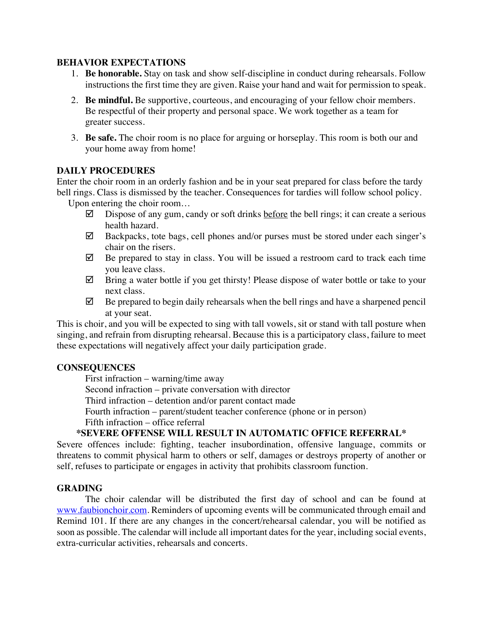# **BEHAVIOR EXPECTATIONS**

- 1. **Be honorable.** Stay on task and show self-discipline in conduct during rehearsals. Follow instructions the first time they are given. Raise your hand and wait for permission to speak.
- 2. **Be mindful.** Be supportive, courteous, and encouraging of your fellow choir members. Be respectful of their property and personal space. We work together as a team for greater success.
- 3. **Be safe.** The choir room is no place for arguing or horseplay. This room is both our and your home away from home!

# **DAILY PROCEDURES**

Enter the choir room in an orderly fashion and be in your seat prepared for class before the tardy bell rings. Class is dismissed by the teacher. Consequences for tardies will follow school policy.

Upon entering the choir room…

- $\boxtimes$  Dispose of any gum, candy or soft drinks before the bell rings; it can create a serious health hazard.
- $\boxtimes$  Backpacks, tote bags, cell phones and/or purses must be stored under each singer's chair on the risers.
- $\boxtimes$  Be prepared to stay in class. You will be issued a restroom card to track each time you leave class.
- $\boxtimes$  Bring a water bottle if you get thirsty! Please dispose of water bottle or take to your next class.
- $\boxtimes$  Be prepared to begin daily rehearsals when the bell rings and have a sharpened pencil at your seat.

This is choir, and you will be expected to sing with tall vowels, sit or stand with tall posture when singing, and refrain from disrupting rehearsal. Because this is a participatory class, failure to meet these expectations will negatively affect your daily participation grade.

# **CONSEQUENCES**

First infraction – warning/time away

Second infraction – private conversation with director

Third infraction – detention and/or parent contact made

Fourth infraction – parent/student teacher conference (phone or in person)

Fifth infraction – office referral

# **\*SEVERE OFFENSE WILL RESULT IN AUTOMATIC OFFICE REFERRAL\***

Severe offences include: fighting, teacher insubordination, offensive language, commits or threatens to commit physical harm to others or self, damages or destroys property of another or self, refuses to participate or engages in activity that prohibits classroom function.

# **GRADING**

The choir calendar will be distributed the first day of school and can be found at www.faubionchoir.com. Reminders of upcoming events will be communicated through email and Remind 101. If there are any changes in the concert/rehearsal calendar, you will be notified as soon as possible. The calendar will include all important dates for the year, including social events, extra-curricular activities, rehearsals and concerts.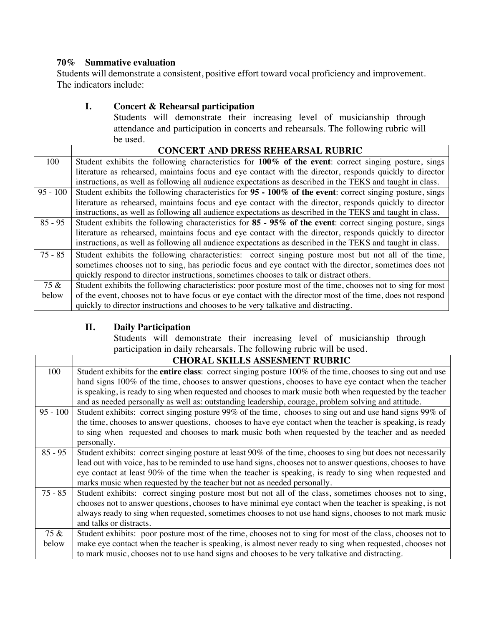# **70% Summative evaluation**

Students will demonstrate a consistent, positive effort toward vocal proficiency and improvement. The indicators include:

# **I. Concert & Rehearsal participation**

Students will demonstrate their increasing level of musicianship through attendance and participation in concerts and rehearsals. The following rubric will be used.

|            | <b>CONCERT AND DRESS REHEARSAL RUBRIC</b>                                                                    |
|------------|--------------------------------------------------------------------------------------------------------------|
| 100        | Student exhibits the following characteristics for 100% of the event: correct singing posture, sings         |
|            | literature as rehearsed, maintains focus and eye contact with the director, responds quickly to director     |
|            | instructions, as well as following all audience expectations as described in the TEKS and taught in class.   |
| $95 - 100$ | Student exhibits the following characteristics for $95 - 100\%$ of the event: correct singing posture, sings |
|            | literature as rehearsed, maintains focus and eye contact with the director, responds quickly to director     |
|            | instructions, as well as following all audience expectations as described in the TEKS and taught in class.   |
| $85 - 95$  | Student exhibits the following characteristics for 85 - 95% of the event: correct singing posture, sings     |
|            | literature as rehearsed, maintains focus and eye contact with the director, responds quickly to director     |
|            | instructions, as well as following all audience expectations as described in the TEKS and taught in class.   |
| $75 - 85$  | Student exhibits the following characteristics: correct singing posture most but not all of the time,        |
|            | sometimes chooses not to sing, has periodic focus and eye contact with the director, sometimes does not      |
|            | quickly respond to director instructions, sometimes chooses to talk or distract others.                      |
| 75 &       | Student exhibits the following characteristics: poor posture most of the time, chooses not to sing for most  |
| below      | of the event, chooses not to have focus or eye contact with the director most of the time, does not respond  |
|            | quickly to director instructions and chooses to be very talkative and distracting.                           |

# **II. Daily Participation**

Students will demonstrate their increasing level of musicianship through participation in daily rehearsals. The following rubric will be used.

|            | <b>CHORAL SKILLS ASSESMENT RUBRIC</b>                                                                                |
|------------|----------------------------------------------------------------------------------------------------------------------|
| 100        | Student exhibits for the <b>entire class</b> : correct singing posture 100% of the time, chooses to sing out and use |
|            | hand signs 100% of the time, chooses to answer questions, chooses to have eye contact when the teacher               |
|            | is speaking, is ready to sing when requested and chooses to mark music both when requested by the teacher            |
|            | and as needed personally as well as: outstanding leadership, courage, problem solving and attitude.                  |
| $95 - 100$ | Student exhibits: correct singing posture 99% of the time, chooses to sing out and use hand signs 99% of             |
|            | the time, chooses to answer questions, chooses to have eye contact when the teacher is speaking, is ready            |
|            | to sing when requested and chooses to mark music both when requested by the teacher and as needed                    |
|            | personally.                                                                                                          |
| $85 - 95$  | Student exhibits: correct singing posture at least 90% of the time, chooses to sing but does not necessarily         |
|            | lead out with voice, has to be reminded to use hand signs, chooses not to answer questions, chooses to have          |
|            | eye contact at least 90% of the time when the teacher is speaking, is ready to sing when requested and               |
|            | marks music when requested by the teacher but not as needed personally.                                              |
| 75 - 85    | Student exhibits: correct singing posture most but not all of the class, sometimes chooses not to sing,              |
|            | chooses not to answer questions, chooses to have minimal eye contact when the teacher is speaking, is not            |
|            | always ready to sing when requested, sometimes chooses to not use hand signs, chooses to not mark music              |
|            | and talks or distracts.                                                                                              |
| 75 &       | Student exhibits: poor posture most of the time, chooses not to sing for most of the class, chooses not to           |
| below      | make eye contact when the teacher is speaking, is almost never ready to sing when requested, chooses not             |
|            | to mark music, chooses not to use hand signs and chooses to be very talkative and distracting.                       |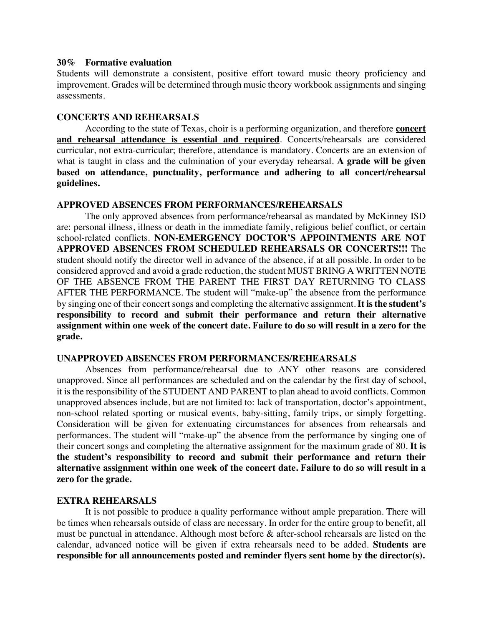#### **30% Formative evaluation**

Students will demonstrate a consistent, positive effort toward music theory proficiency and improvement. Grades will be determined through music theory workbook assignments and singing assessments.

#### **CONCERTS AND REHEARSALS**

According to the state of Texas, choir is a performing organization, and therefore **concert and rehearsal attendance is essential and required**. Concerts/rehearsals are considered curricular, not extra-curricular; therefore, attendance is mandatory. Concerts are an extension of what is taught in class and the culmination of your everyday rehearsal. **A grade will be given based on attendance, punctuality, performance and adhering to all concert/rehearsal guidelines.**

### **APPROVED ABSENCES FROM PERFORMANCES/REHEARSALS**

The only approved absences from performance/rehearsal as mandated by McKinney ISD are: personal illness, illness or death in the immediate family, religious belief conflict, or certain school-related conflicts. **NON-EMERGENCY DOCTOR'S APPOINTMENTS ARE NOT APPROVED ABSENCES FROM SCHEDULED REHEARSALS OR CONCERTS!!!** The student should notify the director well in advance of the absence, if at all possible. In order to be considered approved and avoid a grade reduction, the student MUST BRING A WRITTEN NOTE OF THE ABSENCE FROM THE PARENT THE FIRST DAY RETURNING TO CLASS AFTER THE PERFORMANCE. The student will "make-up" the absence from the performance by singing one of their concert songs and completing the alternative assignment. **It isthe student's responsibility to record and submit their performance and return their alternative assignment within one week of the concert date. Failure to do so will result in a zero for the grade.**

#### **UNAPPROVED ABSENCES FROM PERFORMANCES/REHEARSALS**

Absences from performance/rehearsal due to ANY other reasons are considered unapproved. Since all performances are scheduled and on the calendar by the first day of school, it is the responsibility of the STUDENT AND PARENT to plan ahead to avoid conflicts. Common unapproved absences include, but are not limited to: lack of transportation, doctor's appointment, non-school related sporting or musical events, baby-sitting, family trips, or simply forgetting. Consideration will be given for extenuating circumstances for absences from rehearsals and performances. The student will "make-up" the absence from the performance by singing one of their concert songs and completing the alternative assignment for the maximum grade of 80. **It is the student's responsibility to record and submit their performance and return their alternative assignment within one week of the concert date. Failure to do so will result in a zero for the grade.**

#### **EXTRA REHEARSALS**

It is not possible to produce a quality performance without ample preparation. There will be times when rehearsals outside of class are necessary. In order for the entire group to benefit, all must be punctual in attendance. Although most before & after-school rehearsals are listed on the calendar, advanced notice will be given if extra rehearsals need to be added. **Students are responsible for all announcements posted and reminder flyers sent home by the director(s).**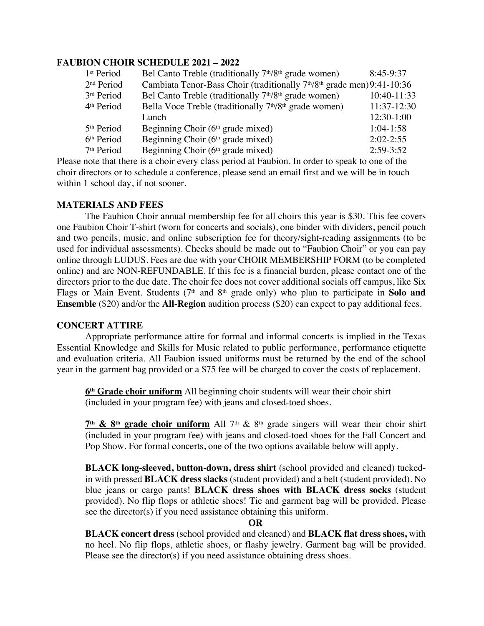# **FAUBION CHOIR SCHEDULE 2021 – 2022**

| 1 <sup>st</sup> Period | Bel Canto Treble (traditionally 7 <sup>th</sup> /8 <sup>th</sup> grade women)                   | $8:45-9:37$   |
|------------------------|-------------------------------------------------------------------------------------------------|---------------|
| 2 <sup>nd</sup> Period | Cambiata Tenor-Bass Choir (traditionally 7 <sup>th</sup> /8 <sup>th</sup> grade men) 9:41-10:36 |               |
| 3rd Period             | Bel Canto Treble (traditionally 7 <sup>th</sup> /8 <sup>th</sup> grade women)                   | 10:40-11:33   |
| 4 <sup>th</sup> Period | Bella Voce Treble (traditionally 7 <sup>th</sup> /8 <sup>th</sup> grade women)                  | 11:37-12:30   |
|                        | Lunch                                                                                           | $12:30-1:00$  |
| 5 <sup>th</sup> Period | Beginning Choir $(6th$ grade mixed)                                                             | $1:04-1:58$   |
| 6 <sup>th</sup> Period | Beginning Choir $(6th$ grade mixed)                                                             | $2:02 - 2:55$ |
| 7 <sup>th</sup> Period | Beginning Choir $(6th \text{ grade mixed})$                                                     | $2:59-3:52$   |
|                        | nata that thang is a chain system chaos magical at Fordrian. In andon to smaoly to any of the   |               |

Please note that there is a choir every class period at Faubion. In order to speak to one of the choir directors or to schedule a conference, please send an email first and we will be in touch within 1 school day, if not sooner.

# **MATERIALS AND FEES**

The Faubion Choir annual membership fee for all choirs this year is \$30. This fee covers one Faubion Choir T-shirt (worn for concerts and socials), one binder with dividers, pencil pouch and two pencils, music, and online subscription fee for theory/sight-reading assignments (to be used for individual assessments). Checks should be made out to "Faubion Choir" or you can pay online through LUDUS. Fees are due with your CHOIR MEMBERSHIP FORM (to be completed online) and are NON-REFUNDABLE. If this fee is a financial burden, please contact one of the directors prior to the due date. The choir fee does not cover additional socials off campus, like Six Flags or Main Event. Students (7<sup>th</sup> and 8<sup>th</sup> grade only) who plan to participate in Solo and **Ensemble** (\$20) and/or the **All-Region** audition process (\$20) can expect to pay additional fees.

# **CONCERT ATTIRE**

Appropriate performance attire for formal and informal concerts is implied in the Texas Essential Knowledge and Skills for Music related to public performance, performance etiquette and evaluation criteria. All Faubion issued uniforms must be returned by the end of the school year in the garment bag provided or a \$75 fee will be charged to cover the costs of replacement.

**6th Grade choir uniform** All beginning choir students will wear their choir shirt (included in your program fee) with jeans and closed-toed shoes.

 $7<sup>th</sup>$  & 8<sup>th</sup> grade choir uniform All 7<sup>th</sup> & 8<sup>th</sup> grade singers will wear their choir shirt (included in your program fee) with jeans and closed-toed shoes for the Fall Concert and Pop Show. For formal concerts, one of the two options available below will apply.

**BLACK long-sleeved, button-down, dress shirt** (school provided and cleaned) tuckedin with pressed **BLACK dress slacks** (student provided) and a belt (student provided). No blue jeans or cargo pants! **BLACK dress shoes with BLACK dress socks** (student provided). No flip flops or athletic shoes! Tie and garment bag will be provided. Please see the director(s) if you need assistance obtaining this uniform.

#### **OR**

**BLACK concert dress** (school provided and cleaned) and **BLACK flat dress shoes,** with no heel. No flip flops, athletic shoes, or flashy jewelry. Garment bag will be provided. Please see the director(s) if you need assistance obtaining dress shoes.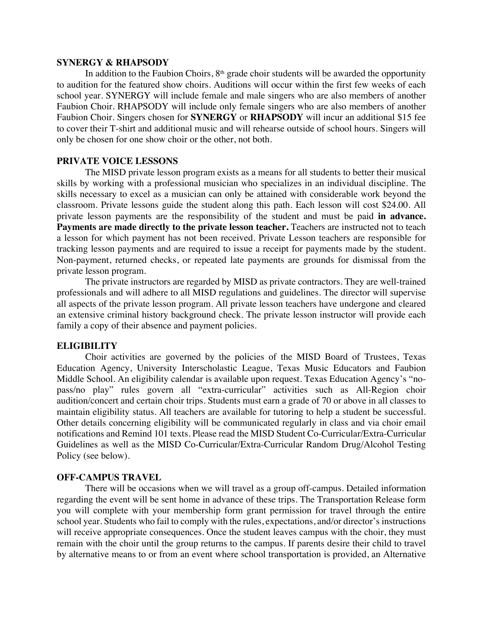#### **SYNERGY & RHAPSODY**

In addition to the Faubion Choirs,  $8<sup>th</sup>$  grade choir students will be awarded the opportunity to audition for the featured show choirs. Auditions will occur within the first few weeks of each school year. SYNERGY will include female and male singers who are also members of another Faubion Choir. RHAPSODY will include only female singers who are also members of another Faubion Choir. Singers chosen for **SYNERGY** or **RHAPSODY** will incur an additional \$15 fee to cover their T-shirt and additional music and will rehearse outside of school hours. Singers will only be chosen for one show choir or the other, not both.

#### **PRIVATE VOICE LESSONS**

The MISD private lesson program exists as a means for all students to better their musical skills by working with a professional musician who specializes in an individual discipline. The skills necessary to excel as a musician can only be attained with considerable work beyond the classroom. Private lessons guide the student along this path. Each lesson will cost \$24.00. All private lesson payments are the responsibility of the student and must be paid **in advance.**  Payments are made directly to the private lesson teacher. Teachers are instructed not to teach a lesson for which payment has not been received. Private Lesson teachers are responsible for tracking lesson payments and are required to issue a receipt for payments made by the student. Non-payment, returned checks, or repeated late payments are grounds for dismissal from the private lesson program.

The private instructors are regarded by MISD as private contractors. They are well-trained professionals and will adhere to all MISD regulations and guidelines. The director will supervise all aspects of the private lesson program. All private lesson teachers have undergone and cleared an extensive criminal history background check. The private lesson instructor will provide each family a copy of their absence and payment policies.

#### **ELIGIBILITY**

Choir activities are governed by the policies of the MISD Board of Trustees, Texas Education Agency, University Interscholastic League, Texas Music Educators and Faubion Middle School. An eligibility calendar is available upon request. Texas Education Agency's "nopass/no play" rules govern all "extra-curricular" activities such as All-Region choir audition/concert and certain choir trips. Students must earn a grade of 70 or above in all classes to maintain eligibility status. All teachers are available for tutoring to help a student be successful. Other details concerning eligibility will be communicated regularly in class and via choir email notifications and Remind 101 texts. Please read the MISD Student Co-Curricular/Extra-Curricular Guidelines as well as the MISD Co-Curricular/Extra-Curricular Random Drug/Alcohol Testing Policy (see below).

#### **OFF-CAMPUS TRAVEL**

There will be occasions when we will travel as a group off-campus. Detailed information regarding the event will be sent home in advance of these trips. The Transportation Release form you will complete with your membership form grant permission for travel through the entire school year. Students who fail to comply with the rules, expectations, and/or director's instructions will receive appropriate consequences. Once the student leaves campus with the choir, they must remain with the choir until the group returns to the campus. If parents desire their child to travel by alternative means to or from an event where school transportation is provided, an Alternative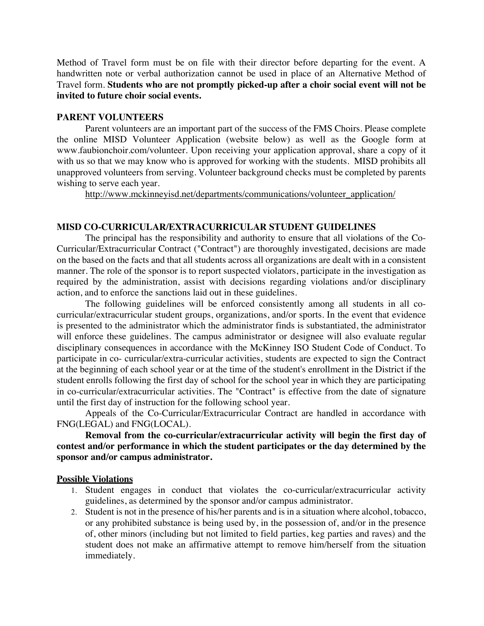Method of Travel form must be on file with their director before departing for the event. A handwritten note or verbal authorization cannot be used in place of an Alternative Method of Travel form. **Students who are not promptly picked-up after a choir social event will not be invited to future choir social events.**

#### **PARENT VOLUNTEERS**

Parent volunteers are an important part of the success of the FMS Choirs. Please complete the online MISD Volunteer Application (website below) as well as the Google form at www.faubionchoir.com/volunteer. Upon receiving your application approval, share a copy of it with us so that we may know who is approved for working with the students. MISD prohibits all unapproved volunteers from serving. Volunteer background checks must be completed by parents wishing to serve each year.

http://www.mckinneyisd.net/departments/communications/volunteer\_application/

#### **MISD CO-CURRICULAR/EXTRACURRICULAR STUDENT GUIDELINES**

The principal has the responsibility and authority to ensure that all violations of the Co-Curricular/Extracurricular Contract ("Contract") are thoroughly investigated, decisions are made on the based on the facts and that all students across all organizations are dealt with in a consistent manner. The role of the sponsor is to report suspected violators, participate in the investigation as required by the administration, assist with decisions regarding violations and/or disciplinary action, and to enforce the sanctions laid out in these guidelines.

The following guidelines will be enforced consistently among all students in all cocurricular/extracurricular student groups, organizations, and/or sports. In the event that evidence is presented to the administrator which the administrator finds is substantiated, the administrator will enforce these guidelines. The campus administrator or designee will also evaluate regular disciplinary consequences in accordance with the McKinney ISO Student Code of Conduct. To participate in co- curricular/extra-curricular activities, students are expected to sign the Contract at the beginning of each school year or at the time of the student's enrollment in the District if the student enrolls following the first day of school for the school year in which they are participating in co-curricular/extracurricular activities. The "Contract" is effective from the date of signature until the first day of instruction for the following school year.

Appeals of the Co-Curricular/Extracurricular Contract are handled in accordance with FNG(LEGAL) and FNG(LOCAL).

**Removal from the co-curricular/extracurricular activity will begin the first day of contest and/or performance in which the student participates or the day determined by the sponsor and/or campus administrator.**

#### **Possible Violations**

- 1. Student engages in conduct that violates the co-curricular/extracurricular activity guidelines, as determined by the sponsor and/or campus administrator.
- 2. Student is not in the presence of his/her parents and is in a situation where alcohol, tobacco, or any prohibited substance is being used by, in the possession of, and/or in the presence of, other minors (including but not limited to field parties, keg parties and raves) and the student does not make an affirmative attempt to remove him/herself from the situation immediately.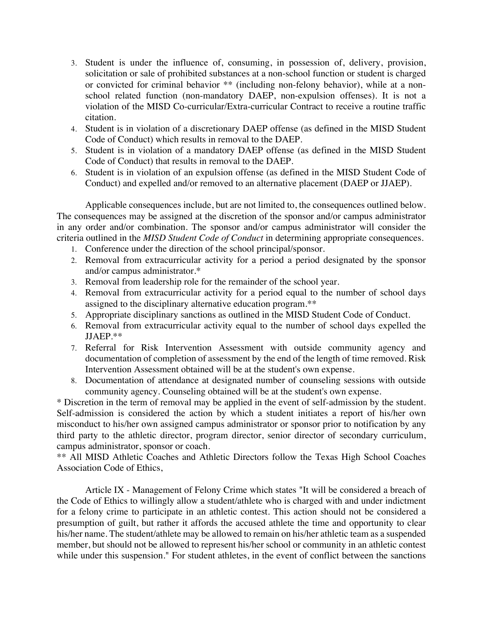- 3. Student is under the influence of, consuming, in possession of, delivery, provision, solicitation or sale of prohibited substances at a non-school function or student is charged or convicted for criminal behavior \*\* (including non-felony behavior), while at a nonschool related function (non-mandatory DAEP, non-expulsion offenses). It is not a violation of the MISD Co-curricular/Extra-curricular Contract to receive a routine traffic citation.
- 4. Student is in violation of a discretionary DAEP offense (as defined in the MISD Student Code of Conduct) which results in removal to the DAEP.
- 5. Student is in violation of a mandatory DAEP offense (as defined in the MISD Student Code of Conduct) that results in removal to the DAEP.
- 6. Student is in violation of an expulsion offense (as defined in the MISD Student Code of Conduct) and expelled and/or removed to an alternative placement (DAEP or JJAEP).

Applicable consequences include, but are not limited to, the consequences outlined below. The consequences may be assigned at the discretion of the sponsor and/or campus administrator in any order and/or combination. The sponsor and/or campus administrator will consider the criteria outlined in the *MISD Student Code of Conduct* in determining appropriate consequences.

- 1. Conference under the direction of the school principal/sponsor.
- 2. Removal from extracurricular activity for a period a period designated by the sponsor and/or campus administrator.\*
- 3. Removal from leadership role for the remainder of the school year.
- 4. Removal from extracurricular activity for a period equal to the number of school days assigned to the disciplinary alternative education program.\*\*
- 5. Appropriate disciplinary sanctions as outlined in the MISD Student Code of Conduct.
- 6. Removal from extracurricular activity equal to the number of school days expelled the JJAEP.\*\*
- 7. Referral for Risk Intervention Assessment with outside community agency and documentation of completion of assessment by the end of the length of time removed. Risk Intervention Assessment obtained will be at the student's own expense.
- 8. Documentation of attendance at designated number of counseling sessions with outside community agency. Counseling obtained will be at the student's own expense.

\* Discretion in the term of removal may be applied in the event of self-admission by the student. Self-admission is considered the action by which a student initiates a report of his/her own misconduct to his/her own assigned campus administrator or sponsor prior to notification by any third party to the athletic director, program director, senior director of secondary curriculum, campus administrator, sponsor or coach.

\*\* All MISD Athletic Coaches and Athletic Directors follow the Texas High School Coaches Association Code of Ethics,

Article IX - Management of Felony Crime which states "It will be considered a breach of the Code of Ethics to willingly allow a student/athlete who is charged with and under indictment for a felony crime to participate in an athletic contest. This action should not be considered a presumption of guilt, but rather it affords the accused athlete the time and opportunity to clear his/her name. The student/athlete may be allowed to remain on his/her athletic team as a suspended member, but should not be allowed to represent his/her school or community in an athletic contest while under this suspension." For student athletes, in the event of conflict between the sanctions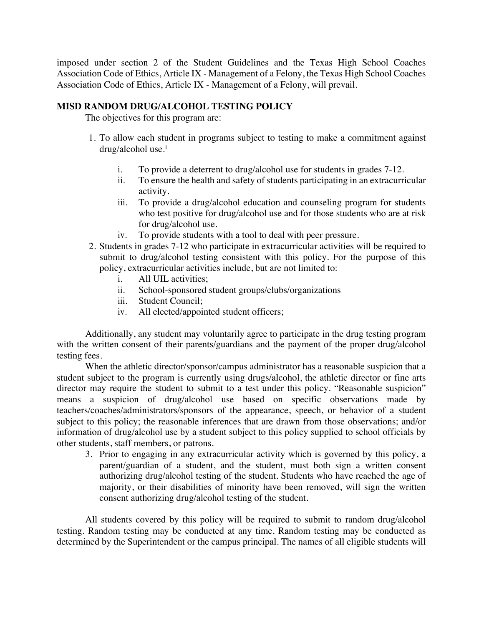imposed under section 2 of the Student Guidelines and the Texas High School Coaches Association Code of Ethics, Article IX - Management of a Felony, the Texas High School Coaches Association Code of Ethics, Article IX - Management of a Felony, will prevail.

# **MISD RANDOM DRUG/ALCOHOL TESTING POLICY**

The objectives for this program are:

- 1. To allow each student in programs subject to testing to make a commitment against drug/alcohol use.1
	- i. To provide a deterrent to drug/alcohol use for students in grades 7-12.
	- ii. To ensure the health and safety of students participating in an extracurricular activity.
	- iii. To provide a drug/alcohol education and counseling program for students who test positive for drug/alcohol use and for those students who are at risk for drug/alcohol use.
	- iv. To provide students with a tool to deal with peer pressure.
- 2. Students in grades 7-12 who participate in extracurricular activities will be required to submit to drug/alcohol testing consistent with this policy. For the purpose of this policy, extracurricular activities include, but are not limited to:
	- i. All UIL activities;
	- ii. School-sponsored student groups/clubs/organizations
	- iii. Student Council;
	- iv. All elected/appointed student officers;

Additionally, any student may voluntarily agree to participate in the drug testing program with the written consent of their parents/guardians and the payment of the proper drug/alcohol testing fees.

When the athletic director/sponsor/campus administrator has a reasonable suspicion that a student subject to the program is currently using drugs/alcohol, the athletic director or fine arts director may require the student to submit to a test under this policy. "Reasonable suspicion" means a suspicion of drug/alcohol use based on specific observations made by teachers/coaches/administrators/sponsors of the appearance, speech, or behavior of a student subject to this policy; the reasonable inferences that are drawn from those observations; and/or information of drug/alcohol use by a student subject to this policy supplied to school officials by other students, staff members, or patrons.

3. Prior to engaging in any extracurricular activity which is governed by this policy, a parent/guardian of a student, and the student, must both sign a written consent authorizing drug/alcohol testing of the student. Students who have reached the age of majority, or their disabilities of minority have been removed, will sign the written consent authorizing drug/alcohol testing of the student.

All students covered by this policy will be required to submit to random drug/alcohol testing. Random testing may be conducted at any time. Random testing may be conducted as determined by the Superintendent or the campus principal. The names of all eligible students will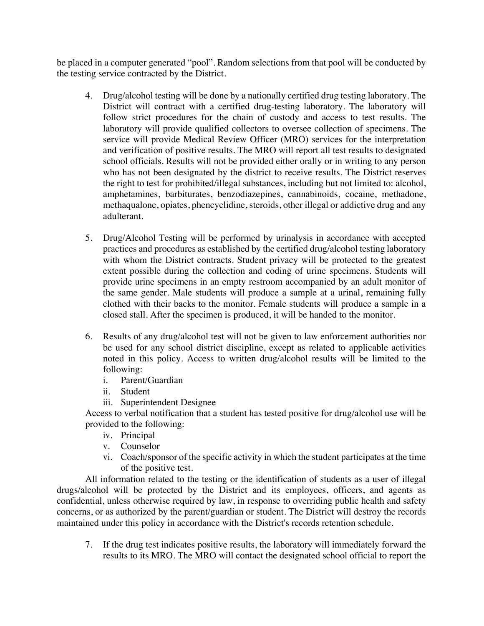be placed in a computer generated "pool". Random selections from that pool will be conducted by the testing service contracted by the District.

- 4. Drug/alcohol testing will be done by a nationally certified drug testing laboratory. The District will contract with a certified drug-testing laboratory. The laboratory will follow strict procedures for the chain of custody and access to test results. The laboratory will provide qualified collectors to oversee collection of specimens. The service will provide Medical Review Officer (MRO) services for the interpretation and verification of positive results. The MRO will report all test results to designated school officials. Results will not be provided either orally or in writing to any person who has not been designated by the district to receive results. The District reserves the right to test for prohibited/illegal substances, including but not limited to: alcohol, amphetamines, barbiturates, benzodiazepines, cannabinoids, cocaine, methadone, methaqualone, opiates, phencyclidine, steroids, other illegal or addictive drug and any adulterant.
- 5. Drug/Alcohol Testing will be performed by urinalysis in accordance with accepted practices and procedures as established by the certified drug/alcohol testing laboratory with whom the District contracts. Student privacy will be protected to the greatest extent possible during the collection and coding of urine specimens. Students will provide urine specimens in an empty restroom accompanied by an adult monitor of the same gender. Male students will produce a sample at a urinal, remaining fully clothed with their backs to the monitor. Female students will produce a sample in a closed stall. After the specimen is produced, it will be handed to the monitor.
- 6. Results of any drug/alcohol test will not be given to law enforcement authorities nor be used for any school district discipline, except as related to applicable activities noted in this policy. Access to written drug/alcohol results will be limited to the following:
	- i. Parent/Guardian
	- ii. Student
	- iii. Superintendent Designee

Access to verbal notification that a student has tested positive for drug/alcohol use will be provided to the following:

- iv. Principal
- v. Counselor
- vi. Coach/sponsor of the specific activity in which the student participates at the time of the positive test.

All information related to the testing or the identification of students as a user of illegal drugs/alcohol will be protected by the District and its employees, officers, and agents as confidential, unless otherwise required by law, in response to overriding public health and safety concerns, or as authorized by the parent/guardian or student. The District will destroy the records maintained under this policy in accordance with the District's records retention schedule.

7. If the drug test indicates positive results, the laboratory will immediately forward the results to its MRO. The MRO will contact the designated school official to report the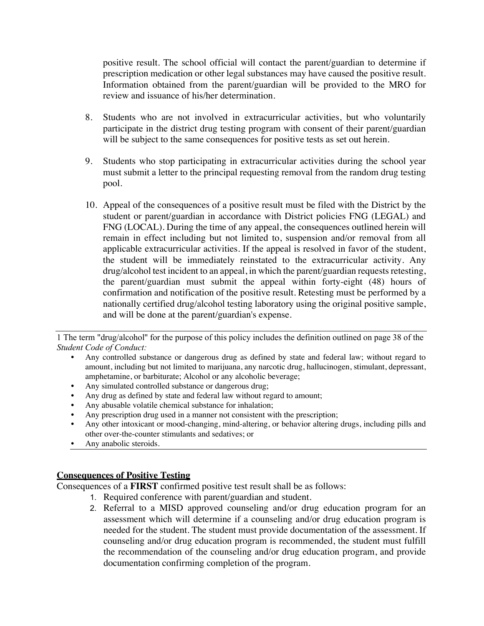positive result. The school official will contact the parent/guardian to determine if prescription medication or other legal substances may have caused the positive result. Information obtained from the parent/guardian will be provided to the MRO for review and issuance of his/her determination.

- 8. Students who are not involved in extracurricular activities, but who voluntarily participate in the district drug testing program with consent of their parent/guardian will be subject to the same consequences for positive tests as set out herein.
- 9. Students who stop participating in extracurricular activities during the school year must submit a letter to the principal requesting removal from the random drug testing pool.
- 10. Appeal of the consequences of a positive result must be filed with the District by the student or parent/guardian in accordance with District policies FNG (LEGAL) and FNG (LOCAL). During the time of any appeal, the consequences outlined herein will remain in effect including but not limited to, suspension and/or removal from all applicable extracurricular activities. If the appeal is resolved in favor of the student, the student will be immediately reinstated to the extracurricular activity. Any drug/alcohol test incident to an appeal, in which the parent/guardian requests retesting, the parent/guardian must submit the appeal within forty-eight (48) hours of confirmation and notification of the positive result. Retesting must be performed by a nationally certified drug/alcohol testing laboratory using the original positive sample, and will be done at the parent/guardian's expense.

1 The term "drug/alcohol'' for the purpose of this policy includes the definition outlined on page 38 of the *Student Code of Conduct:*

- Any controlled substance or dangerous drug as defined by state and federal law; without regard to amount, including but not limited to marijuana, any narcotic drug, hallucinogen, stimulant, depressant, amphetamine, or barbiturate; Alcohol or any alcoholic beverage;
- Any simulated controlled substance or dangerous drug;
- Any drug as defined by state and federal law without regard to amount;
- Any abusable volatile chemical substance for inhalation;
- Any prescription drug used in a manner not consistent with the prescription;
- Any other intoxicant or mood-changing, mind-altering, or behavior altering drugs, including pills and other over-the-counter stimulants and sedatives; or
- Any anabolic steroids.

# **Consequences of Positive Testing**

Consequences of a **FIRST** confirmed positive test result shall be as follows:

- 1. Required conference with parent/guardian and student.
- 2. Referral to a MISD approved counseling and/or drug education program for an assessment which will determine if a counseling and/or drug education program is needed for the student. The student must provide documentation of the assessment. If counseling and/or drug education program is recommended, the student must fulfill the recommendation of the counseling and/or drug education program, and provide documentation confirming completion of the program.